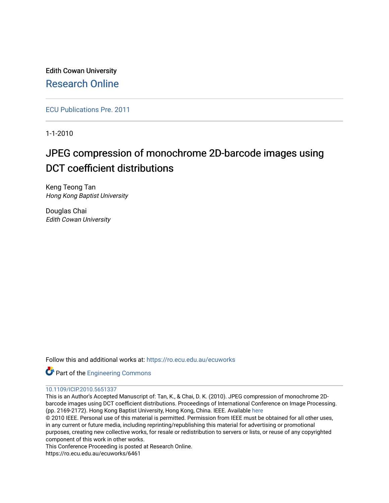Edith Cowan University [Research Online](https://ro.ecu.edu.au/) 

[ECU Publications Pre. 2011](https://ro.ecu.edu.au/ecuworks)

1-1-2010

# JPEG compression of monochrome 2D-barcode images using DCT coefficient distributions

Keng Teong Tan Hong Kong Baptist University

Douglas Chai Edith Cowan University

Follow this and additional works at: [https://ro.ecu.edu.au/ecuworks](https://ro.ecu.edu.au/ecuworks?utm_source=ro.ecu.edu.au%2Fecuworks%2F6461&utm_medium=PDF&utm_campaign=PDFCoverPages) 



# [10.1109/ICIP.2010.5651337](http://dx.doi.org/10.1109/ICIP.2010.5651337)

This is an Author's Accepted Manuscript of: Tan, K., & Chai, D. K. (2010). JPEG compression of monochrome 2Dbarcode images using DCT coefficient distributions. Proceedings of International Conference on Image Processing. (pp. 2169-2172). Hong Kong Baptist University, Hong Kong, China. IEEE. Available [here](http://dx.doi.org/10.1109/ICIP.2010.5651337)

© 2010 IEEE. Personal use of this material is permitted. Permission from IEEE must be obtained for all other uses, in any current or future media, including reprinting/republishing this material for advertising or promotional purposes, creating new collective works, for resale or redistribution to servers or lists, or reuse of any copyrighted component of this work in other works.

This Conference Proceeding is posted at Research Online.

https://ro.ecu.edu.au/ecuworks/6461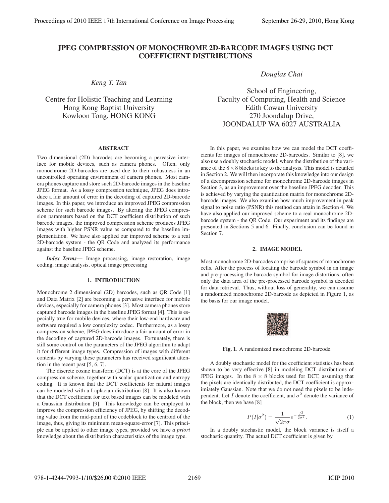# JPEG COMPRESSION OF MONOCHROME 2D-BARCODE IMAGES USING DCT COEFFICIENT DISTRIBUTIONS

*Keng T. Tan*

Centre for Holistic Teaching and Learning Hong Kong Baptist University Kowloon Tong, HONG KONG

# **ABSTRACT**

Two dimensional (2D) barcodes are becoming a pervasive interface for mobile devices, such as camera phones. Often, only monochrome 2D-barcodes are used due to their robustness in an uncontrolled operating environment of camera phones. Most camera phones capture and store such 2D-barcode images in the baseline JPEG format. As a lossy compression technique, JPEG does introduce a fair amount of error in the decoding of captured 2D-barcode images. In this paper, we introduce an improved JPEG compression scheme for such barcode images. By altering the JPEG compression parameters based on the DCT coefficient distribution of such barcode images, the improved compression scheme produces JPEG images with higher PSNR value as compared to the baseline implementation. We have also applied our improved scheme to a real 2D-barcode system - the QR Code and analyzed its performance against the baseline JPEG scheme.

*Index Terms*— Image processing, image restoration, image coding, image analysis, optical image processing

# 1. INTRODUCTION

Monochrome 2 dimensional (2D) barcodes, such as QR Code [1] and Data Matrix [2] are becoming a pervasive interface for mobile devices, especially for camera phones [3]. Most camera phones store captured barcode images in the baseline JPEG format [4]. This is especially true for mobile devices, where their low-end hardware and software required a low complexity codec. Furthermore, as a lossy compression scheme, JPEG does introduce a fair amount of error in the decoding of captured 2D-barcode images. Fortunately, there is still some control on the parameters of the JPEG algorithm to adapt it for different image types. Compression of images with different contents by varying these parameters has received significant attention in the recent past [5, 6, 7].

The discrete cosine transform (DCT) is at the core of the JPEG compression scheme, together with scalar quantization and entropy coding. It is known that the DCT coefficients for natural images can be modeled with a Laplacian distribution [8]. It is also known that the DCT coefficient for text based images can be modeled with a Gaussian distribution [9]. This knowledge can be employed to improve the compression efficiency of JPEG, by shifting the decoding value from the mid-point of the codeblock to the centroid of the image, thus, giving its minimum mean-square-error [7]. This principle can be applied to other image types, provided we have *a priori* knowledge about the distribution characteristics of the image type.

*Douglas Chai*

School of Engineering, Faculty of Computing, Health and Science Edith Cowan University 270 Joondalup Drive, JOONDALUP WA 6027 AUSTRALIA

In this paper, we examine how we can model the DCT coefficients for images of monochrome 2D-barcodes. Similar to [8], we also use a doubly stochastic model, where the distribution of the variance of the  $8 \times 8$  blocks is key to the analysis. This model is detailed in Section 2. We will then incorporate this knowledge into our design of a decompression scheme for monochrome 2D-barcode images in Section 3, as an improvement over the baseline JPEG decoder. This is achieved by varying the quantization matrix for monochrome 2Dbarcode images. We also examine how much improvement in peak signal to noise ratio (PSNR) this method can attain in Section 4. We have also applied our improved scheme to a real monochrome 2Dbarcode system - the QR Code. Our experiment and its findings are presented in Sections 5 and 6. Finally, conclusion can be found in Section 7.

#### 2. IMAGE MODEL

Most monochrome 2D-barcodes comprise of squares of monochrome cells. After the process of locating the barcode symbol in an image and pre-processing the barcode symbol for image distortions, often only the data area of the pre-processed barcode symbol is decoded for data retrieval. Thus, without loss of generality, we can assume a randomized monochrome 2D-barcode as depicted in Figure 1, as the basis for our image model.

| v. |  |
|----|--|

Fig. 1. A randomized monochrome 2D-barcode.

A doubly stochastic model for the coefficient statistics has been shown to be very effective [8] in modeling DCT distributions of JPEG images. In the  $8 \times 8$  blocks used for DCT, assuming that the pixels are identically distributed, the DCT coefficient is approximiately Gaussian. Note that we do not need the pixels to be independent. Let I denote the coefficient, and  $\sigma^2$  denote the variance of the block, then we have [8]

$$
P(I|\sigma^2) = \frac{1}{\sqrt{2\pi}\sigma}e^{-\frac{I^2}{2\sigma^2}}.
$$
 (1)

In a doubly stochastic model, the block variance is itself a stochastic quantity. The actual DCT coefficient is given by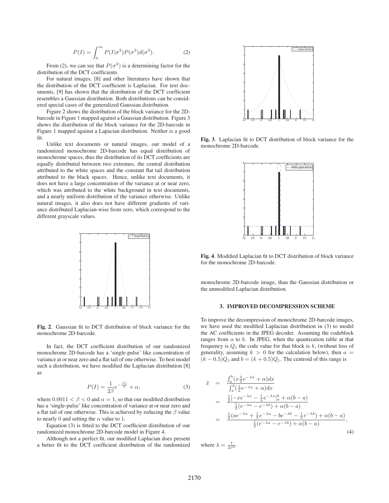$$
P(I) = \int_0^\infty P(I|\sigma^2)P(\sigma^2)d(\sigma^2).
$$
 (2)

From (2), we can see that  $P(\sigma^2)$  is a determining factor for the distribution of the DCT coefficients.

For natural images, [8] and other literatures have shown that the distribution of the DCT coefficient is Laplacian. For text documents, [9] has shown that the distribution of the DCT coefficient resembles a Gaussian distribution. Both distributions can be considered special cases of the generalized Gaussian distribution.

Figure 2 shows the distribution of the block variance for the 2Dbarcode in Figure 1 mapped against a Gaussian distribution. Figure 3 shows the distribution of the block variance for the 2D-barcode in Figure 1 mapped against a Lapacian distribution. Neither is a good fit.

Unlike text documents or natural images, our model of a randomized monochrome 2D-barcode has equal distribution of monochrome spaces, thus the distribution of its DCT coefficients are equally distributed between two extremes, the central distribution attributed to the white spaces and the constant flat tail distribution attributed to the black spaces. Hence, unlike text documents, it does not have a large concentration of the variance at or near zero, which was attributed to the white background in text documents, and a nearly uniform distribution of the variance otherwise. Unlike natural images, it also does not have different gradients of variance distributed Laplacian-wise from zero, which correspond to the different grayscale values.



Fig. 2. Gaussian fit to DCT distribution of block variance for the monochrome 2D-barcode.

In fact, the DCT coefficient distribution of our randomized monochrome 2D-barcode has a 'single-pulse' like concentration of variance at or near zero and a flat tail of one otherwise. To best model such a distribution, we have modified the Laplacian distribution [8] as

$$
P(I) = \frac{1}{2\beta}e^{-\frac{|I|}{\beta}} + \alpha,\tag{3}
$$

where  $0.0011 < \beta < 0$  and  $\alpha = 1$ , so that our modified distribution has a 'single-pulse' like concentration of variance at or near zero and a flat tail of one otherwise. This is achieved by reducing the  $\beta$  value to nearly 0 and setting the  $\alpha$  value to 1.

Equation (3) is fitted to the DCT coefficient distribution of our randomized monochrome 2D-barcode model in Figure 4.

Although not a perfect fit, our modified Laplacian does present a better fit to the DCT coefficient distribution of the randomized



Fig. 3. Laplacian fit to DCT distribution of block variance for the monochrome 2D-barcode.



Fig. 4. Modified Laplacian fit to DCT distribution of block variance for the monochrome 2D-barcode.

monochrome 2D-barcode image, than the Gaussian distribution or the unmodified Laplacian distribution.

# 3. IMPROVED DECOMPRESSION SCHEME

To improve the decompression of monochrome 2D-barcode images, we have used the modified Laplacian distribution in (3) to model the AC coefficients in the JPEG decoder. Assuming the codeblock ranges from  $a$  to  $b$ . In JPEG, when the quantization table at that frequency is  $Q_j$  the code value for that block is  $k$ , (without loss of generality, assuming  $k > 0$  for the calculation below), then  $a =$  $(k - 0.5)Q_j$  and  $b = (k + 0.5)Q_j$ . The centroid of this range is

$$
\begin{array}{rcl}\n\hat{x} & = & \frac{\int_a^b (x\frac{\lambda}{2}e^{-\lambda x} + \alpha) dx}{\int_a^b (\frac{\lambda}{2}e^{-\lambda x} + \alpha) dx} \\
& = & \frac{\frac{1}{2}[-xe^{-\lambda x} - \frac{1}{\lambda}e^{-\lambda x}]_a^b + \alpha(b-a)}{\frac{1}{2}(e^{-\lambda a} - e^{-\lambda b}) + \alpha(b-a)} \\
& = & \frac{\frac{1}{2}(ae^{-\lambda a} + \frac{1}{\lambda}e^{-\lambda a} - be^{-\lambda b} - \frac{1}{\lambda}e^{-\lambda b}) + \alpha(b-a)}{\frac{1}{2}(e^{-\lambda a} - e^{-\lambda b}) + \alpha(b-a)}\n\end{array}\n\tag{4}
$$

where  $\lambda = \frac{1}{2\beta^2}$ .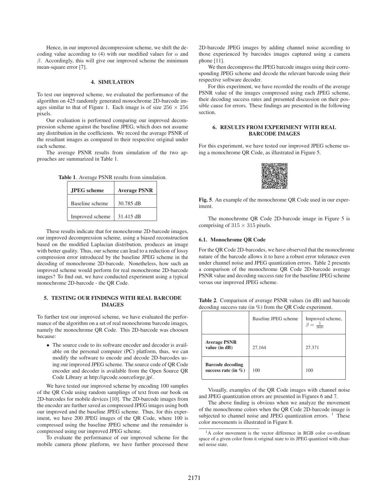Hence, in our improved decompression scheme, we shift the decoding value according to (4) with our modified values for  $\alpha$  and  $\beta$ . Accordingly, this will give our improved scheme the minimum mean-square error [7].

#### 4. SIMULATION

To test our improved scheme, we evaluated the performance of the algorithm on 425 randomly generated monochrome 2D-barcode images similar to that of Figure 1. Each image is of size  $256 \times 256$ pixels.

Our evaluation is performed comparing our improved decompression scheme against the baseline JPEG, which does not assume any distribution in the coefficients. We record the average PSNR of the resultant images as compared to their respective original under each scheme.

The average PSNR results from simulation of the two approaches are summarized in Table 1.

Table 1. Average PSNR results from simulation.

| <b>JPEG</b> scheme | <b>Average PSNR</b> |  |
|--------------------|---------------------|--|
| Baseline scheme    | 30.785 dB           |  |
| Improved scheme    | 31.415 dB           |  |

These results indicate that for monochrome 2D-barcode images, our improved decompression scheme, using a biased reconstruction based on the modified Laplacian distribution, produces an image with better quality. Thus, our scheme can lead to a reduction of lossy compression error introduced by the baseline JPEG scheme in the decoding of monochrome 2D-barcode. Nonetheless, how such an improved scheme would perform for real monochrome 2D-barcode images? To find out, we have conducted experiment using a typical monochrome 2D-barcode - the QR Code.

# 5. TESTING OUR FINDINGS WITH REAL BARCODE IMAGES

To further test our improved scheme, we have evaluated the performance of the algorithm on a set of real monochrome barcode images, namely the monochrome QR Code. This 2D-barcode was choosen because:

• The source code to its software encoder and decoder is available on the personal computer (PC) platform, thus, we can modify the software to encode and decode 2D-barcodes using our improved JPEG scheme. The source code of QR Code encoder and decoder is available from the Open Source QR Code Library at http://qrcode.sourceforge.jp/.

We have tested our improved scheme by encoding 100 samples of the QR Code using random samplings of text from our book on 2D-barcodes for mobile devices [10]. The 2D-barcode images from the encoder are further saved as compressed JPEG images using both our improved and the baseline JPEG scheme. Thus, for this experiment, we have 200 JPEG images of the QR Code, where 100 is compressed using the baseline JPEG scheme and the remainder is compressed using our improved JPEG scheme.

To evaluate the performance of our improved scheme for the mobile camera phone platform, we have further processed these 2D-barcode JPEG images by adding channel noise according to those experienced by barcodes images captured using a camera phone [11].

We then decompress the JPEG barcode images using their corresponding JPEG scheme and decode the relevant barcode using their respective software decoder.

For this experiment, we have recorded the results of the average PSNR value of the images compressed using each JPEG scheme, their decoding success rates and presented discussion on their possible cause for errors. These findings are presented in the following section.

### 6. RESULTS FROM EXPERIMENT WITH REAL BARCODE IMAGES

For this experiment, we have tested our improved JPEG scheme using a monochrome QR Code, as illustrated in Figure 5.



Fig. 5. An example of the monochrome QR Code used in our experiment.

The monochrome QR Code 2D-barcode image in Figure 5 is comprising of  $315 \times 315$  pixels.

#### 6.1. Monochrome QR Code

For the QR Code 2D-barcodes, we have observed that the monochrome nature of the barcode allows it to have a robust error tolerance even under channel noise and JPEG quantization errors. Table 2 presents a comparison of the monochrome QR Code 2D-barcode average PSNR value and decoding success rate for the baseline JPEG scheme versus our improved JPEG scheme.

Table 2. Comparison of average PSNR values (in dB) and barcode decoding success rate (in %) from the QR Code experiment.

|                                                    | Baseline JPEG scheme | Improved scheme,<br>$\frac{1}{900}$ |
|----------------------------------------------------|----------------------|-------------------------------------|
| <b>Average PSNR</b><br>value (in dB)               | 27.164               | 27.371                              |
| <b>Barcode decoding</b><br>success rate (in $\%$ ) | 100                  | 100                                 |

Visually, examples of the QR Code images with channel noise and JPEG quantization errors are presented in Figures 6 and 7.

The above finding is obvious when we analyze the movement of the monochrome colors when the QR Code 2D-barcode image is subjected to channel noise and JPEG quantization errors.  $1$  These color movements is illustrated in Figure 8.

<sup>&</sup>lt;sup>1</sup>A color movement is the vector difference in RGB color co-ordinate space of a given color from it original state to its JPEG quantized with channel noise state.